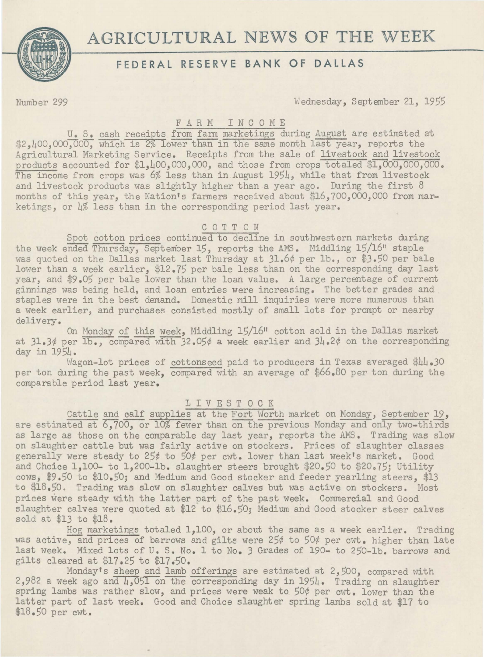

Number 299 Wednesday, September 21, 1955

# FARM INCOME

U. S. cash receipts from farm marketings during August are estimated at \$2, 100,000,000, which is 2% lower than in the same month last year, reports the Agricultural Marketing Service. Receipts from the sale of livestock and livestock products accounted for \$1,400,000,000, and those from crops totaled \$1,000,000,000. The income from crops was 6% less than in August 1954, while that from livestock and livestock products was slightly higher than a year ago. During the first 8 months of this year, the Nation's farmers received about \$16,700,000,000 from marketings, or L% less than in the corresponding period last year.

# C 0 T T 0 N

Spot cotton prices continued to decline in southwestern markets during the week ended Thursday, September 15, reports the AMS. Middling 15/16" staple was quoted on the Dallas market last Thursday at 31.6¢ per lb., or \$3.50 per bale lower than a week earlier, \$12.75 per bale less than on the corresponding day last year, and \$9.05 per bale lower than the loan value. A large percentage of current ginnings was being held, and loan entries were increasing. The better grades and staples were in the best demand. Domestic mill inquiries were more numerous than a week earlier, and purchases consisted mostly of small lots for prompt or nearby delivery.

On Monday of this week, Middling 15/1611 cotton sold in the Dallas market at  $31.3¢$  per  $\overline{1b}$ ., compared with 32.05¢ a week earlier and  $3l$ .2¢ on the corresponding day in 1954.

Wagon-lot prices of cottonseed paid to producers in Texas averaged \$44.30 per ton during the past week, compared with an average of \$66.80 per ton during the comparable period last year.

## LIVESTOCK

Cattle and calf supplies at the Fort Worth market on Monday, September 19, are estimated at  $6,700$ , or 10% fewer than on the previous Monday and only two-thirds as large as those on the comparable day last year, reports the AMS. Trading was slow on slaughter cattle but was fairly active on stockers. Prices of slaughter classes generally were steady to 25¢ to 50¢ per cwt. lower than last week's market. Good and Choice 1,100- to 1,200-1b. slaughter steers brought \$20.50 to \$20.75; Utility cows, \$9.50 to \$10.50; and Medium and Good stocker and feeder yearling steers, \$13 to \$18,50. Trading was slow on slaughter calves but was active on stockers. Most prices were steady with the latter part of the past week. Commercial and Good slaughter calves were quoted at \$12 to \$16.50; Medium and Good stocker steer calves sold at \$13 to \$18.

Hog marketings totaled 1,100, or about the same as a week earlier. Trading was active, and prices of barrows and gilts were 25¢ to 50¢ per cwt. higher than late last week. Mixed lots of u. s. No. 1 to No. 3 Grades of 190- to 250-lb. barrows and gilts cleared at \$17.25 to \$17•50.

Monday's sheep and lamb offerings are estimated at 2,500, compared with  $2,982$  a week ago and  $\mu$ ,051 on the corresponding day in 1954. Trading on slaughter spring lambs was rather slow, and prices were weak to *50¢* per cwt. lower than the latter part of last week. Good and Choice slaughter spring lambs sold at \$17 to \$18.50 per cwt.